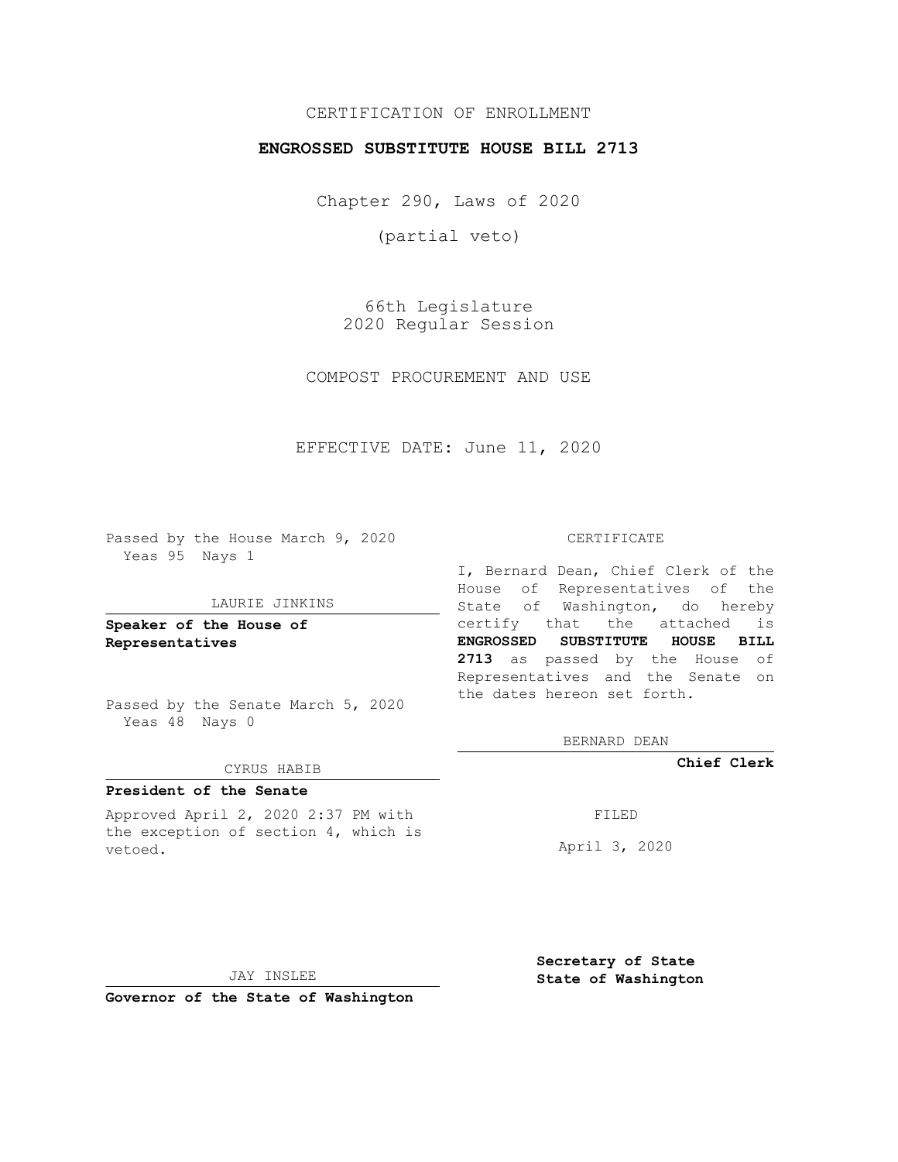## CERTIFICATION OF ENROLLMENT

### **ENGROSSED SUBSTITUTE HOUSE BILL 2713**

Chapter 290, Laws of 2020

(partial veto)

66th Legislature 2020 Regular Session

COMPOST PROCUREMENT AND USE

EFFECTIVE DATE: June 11, 2020

Passed by the House March 9, 2020 Yeas 95 Nays 1

### LAURIE JINKINS

**Speaker of the House of Representatives**

Passed by the Senate March 5, 2020 Yeas 48 Nays 0

#### CYRUS HABIB

## **President of the Senate**

Approved April 2, 2020 2:37 PM with the exception of section 4, which is vetoed.

#### CERTIFICATE

I, Bernard Dean, Chief Clerk of the House of Representatives of the State of Washington, do hereby certify that the attached is **ENGROSSED SUBSTITUTE HOUSE BILL 2713** as passed by the House of Representatives and the Senate on the dates hereon set forth.

BERNARD DEAN

**Chief Clerk**

FILED

April 3, 2020

JAY INSLEE

**Governor of the State of Washington**

**Secretary of State State of Washington**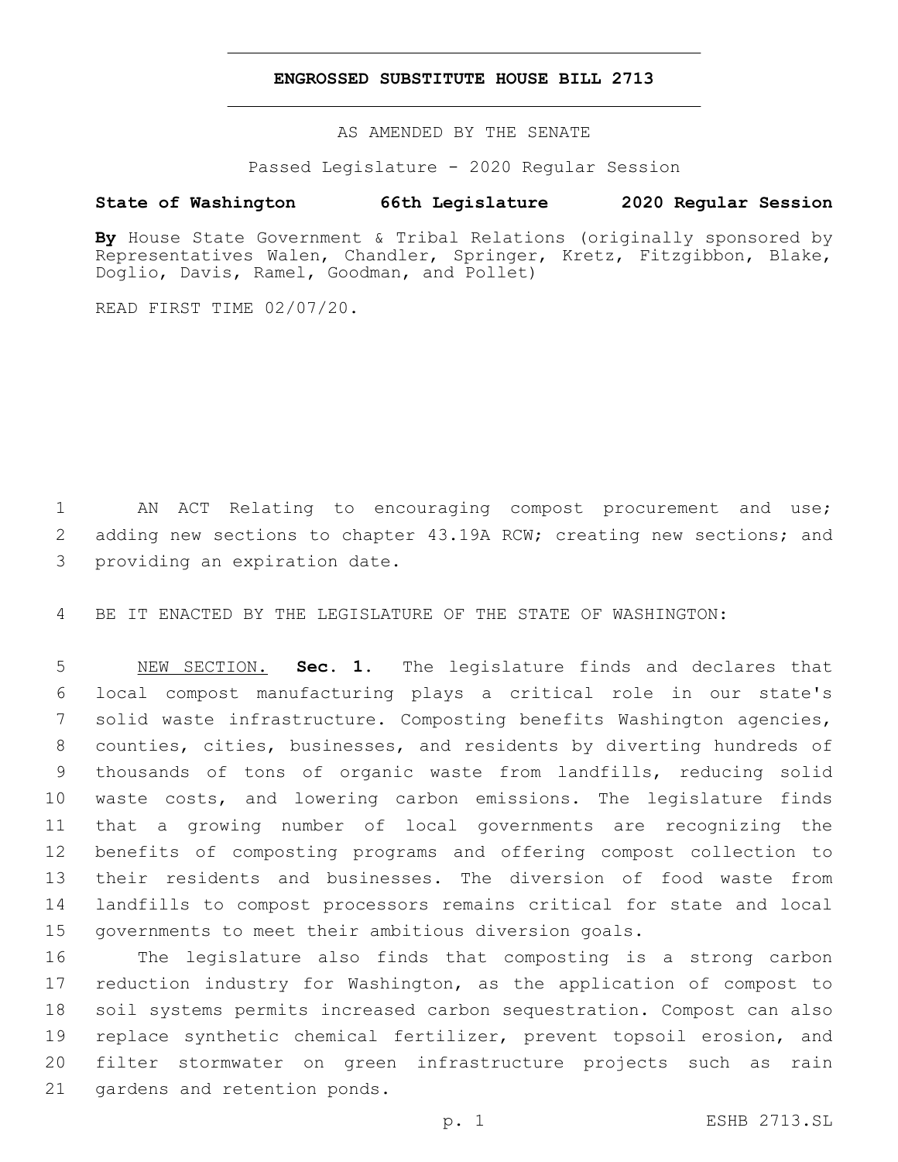### **ENGROSSED SUBSTITUTE HOUSE BILL 2713**

AS AMENDED BY THE SENATE

Passed Legislature - 2020 Regular Session

# **State of Washington 66th Legislature 2020 Regular Session**

By House State Government & Tribal Relations (originally sponsored by Representatives Walen, Chandler, Springer, Kretz, Fitzgibbon, Blake, Doglio, Davis, Ramel, Goodman, and Pollet)

READ FIRST TIME 02/07/20.

1 AN ACT Relating to encouraging compost procurement and use; 2 adding new sections to chapter 43.19A RCW; creating new sections; and 3 providing an expiration date.

4 BE IT ENACTED BY THE LEGISLATURE OF THE STATE OF WASHINGTON:

 NEW SECTION. **Sec. 1.** The legislature finds and declares that local compost manufacturing plays a critical role in our state's solid waste infrastructure. Composting benefits Washington agencies, counties, cities, businesses, and residents by diverting hundreds of thousands of tons of organic waste from landfills, reducing solid waste costs, and lowering carbon emissions. The legislature finds that a growing number of local governments are recognizing the benefits of composting programs and offering compost collection to their residents and businesses. The diversion of food waste from landfills to compost processors remains critical for state and local governments to meet their ambitious diversion goals.

 The legislature also finds that composting is a strong carbon reduction industry for Washington, as the application of compost to soil systems permits increased carbon sequestration. Compost can also replace synthetic chemical fertilizer, prevent topsoil erosion, and filter stormwater on green infrastructure projects such as rain 21 gardens and retention ponds.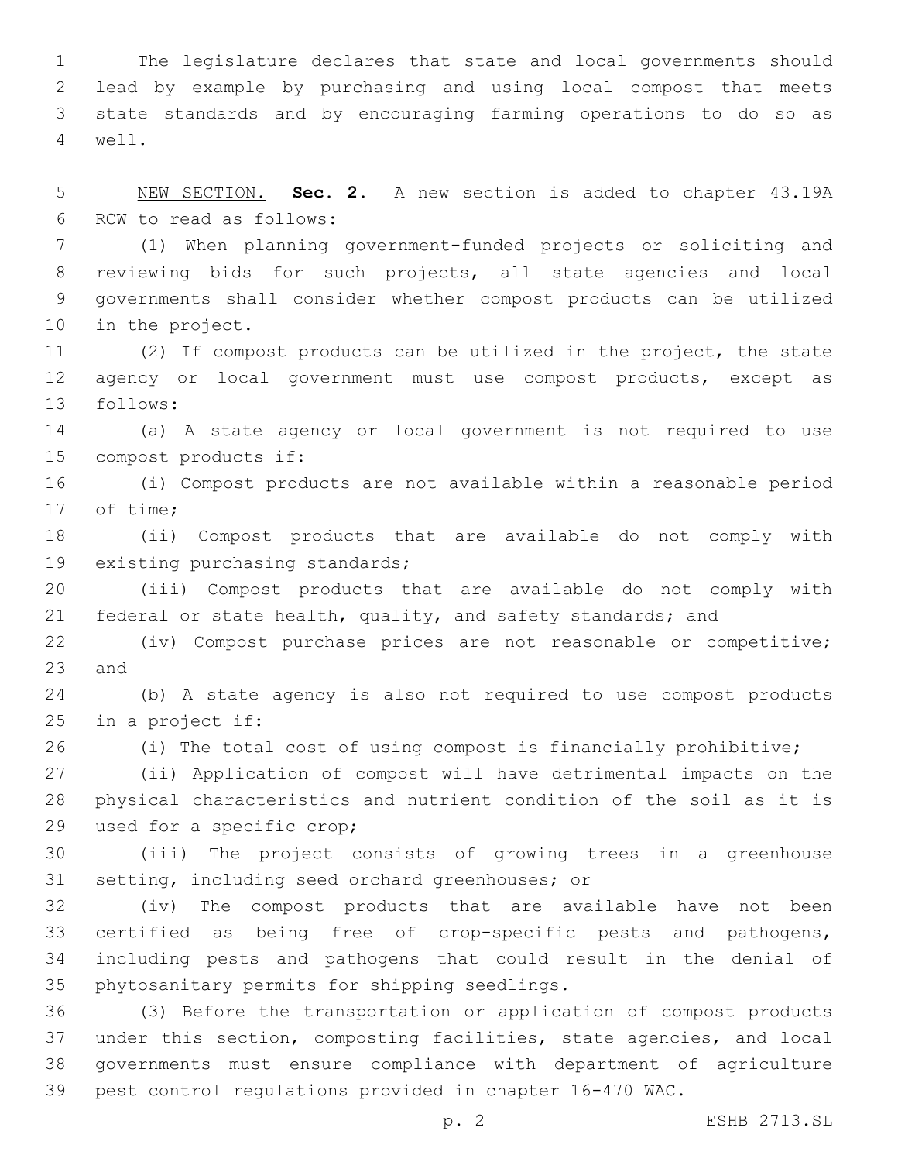The legislature declares that state and local governments should lead by example by purchasing and using local compost that meets state standards and by encouraging farming operations to do so as well.4

 NEW SECTION. **Sec. 2.** A new section is added to chapter 43.19A 6 RCW to read as follows:

 (1) When planning government-funded projects or soliciting and reviewing bids for such projects, all state agencies and local governments shall consider whether compost products can be utilized 10 in the project.

 (2) If compost products can be utilized in the project, the state agency or local government must use compost products, except as 13 follows:

 (a) A state agency or local government is not required to use 15 compost products if:

 (i) Compost products are not available within a reasonable period 17 of time;

 (ii) Compost products that are available do not comply with 19 existing purchasing standards;

 (iii) Compost products that are available do not comply with 21 federal or state health, quality, and safety standards; and

 (iv) Compost purchase prices are not reasonable or competitive; 23 and

 (b) A state agency is also not required to use compost products 25 in a project if:

(i) The total cost of using compost is financially prohibitive;

 (ii) Application of compost will have detrimental impacts on the physical characteristics and nutrient condition of the soil as it is 29 used for a specific crop;

 (iii) The project consists of growing trees in a greenhouse 31 setting, including seed orchard greenhouses; or

 (iv) The compost products that are available have not been certified as being free of crop-specific pests and pathogens, including pests and pathogens that could result in the denial of 35 phytosanitary permits for shipping seedlings.

 (3) Before the transportation or application of compost products under this section, composting facilities, state agencies, and local governments must ensure compliance with department of agriculture pest control regulations provided in chapter 16-470 WAC.

p. 2 ESHB 2713.SL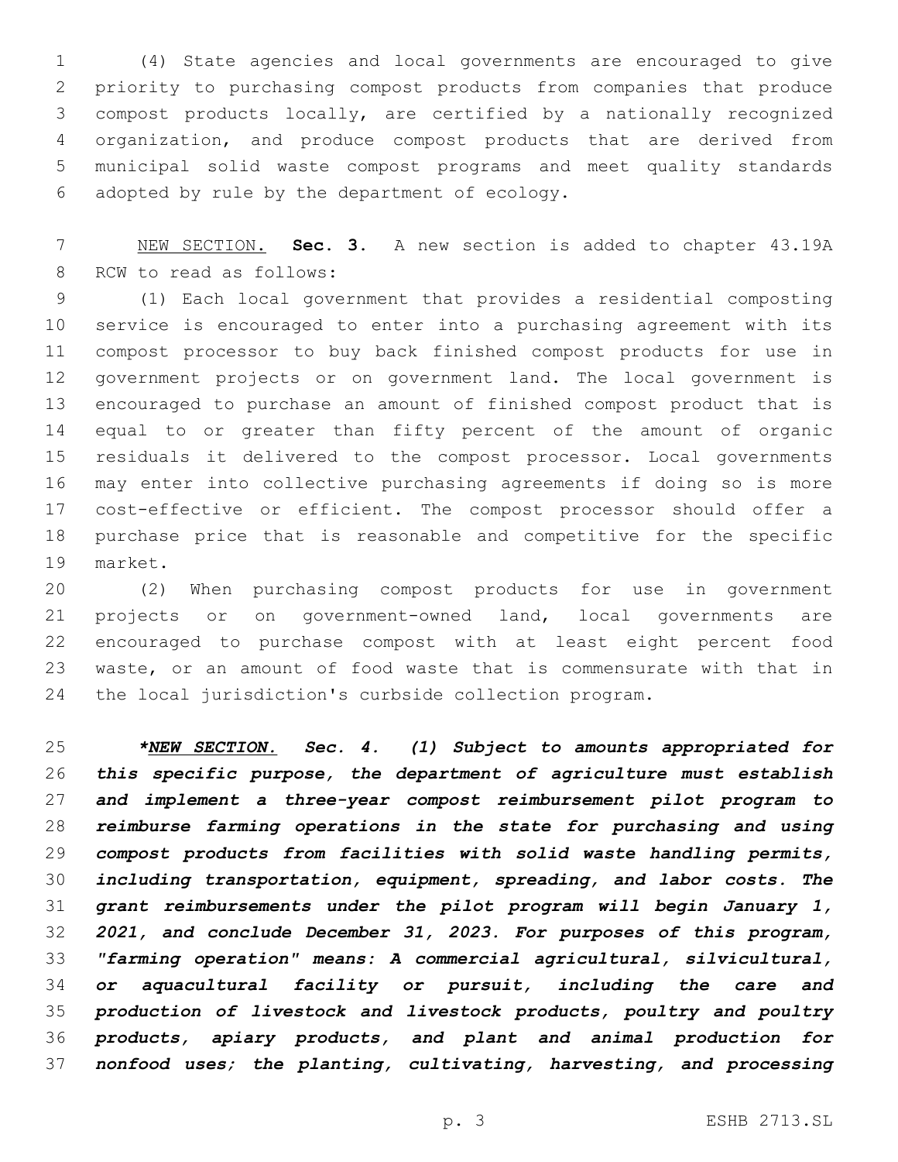(4) State agencies and local governments are encouraged to give priority to purchasing compost products from companies that produce compost products locally, are certified by a nationally recognized organization, and produce compost products that are derived from municipal solid waste compost programs and meet quality standards adopted by rule by the department of ecology.6

 NEW SECTION. **Sec. 3.** A new section is added to chapter 43.19A 8 RCW to read as follows:

 (1) Each local government that provides a residential composting service is encouraged to enter into a purchasing agreement with its compost processor to buy back finished compost products for use in government projects or on government land. The local government is encouraged to purchase an amount of finished compost product that is equal to or greater than fifty percent of the amount of organic residuals it delivered to the compost processor. Local governments may enter into collective purchasing agreements if doing so is more cost-effective or efficient. The compost processor should offer a purchase price that is reasonable and competitive for the specific 19 market.

 (2) When purchasing compost products for use in government projects or on government-owned land, local governments are encouraged to purchase compost with at least eight percent food waste, or an amount of food waste that is commensurate with that in the local jurisdiction's curbside collection program.

 *\*NEW SECTION. Sec. 4. (1) Subject to amounts appropriated for this specific purpose, the department of agriculture must establish and implement a three-year compost reimbursement pilot program to reimburse farming operations in the state for purchasing and using compost products from facilities with solid waste handling permits, including transportation, equipment, spreading, and labor costs. The grant reimbursements under the pilot program will begin January 1, 2021, and conclude December 31, 2023. For purposes of this program, "farming operation" means: A commercial agricultural, silvicultural, or aquacultural facility or pursuit, including the care and production of livestock and livestock products, poultry and poultry products, apiary products, and plant and animal production for nonfood uses; the planting, cultivating, harvesting, and processing*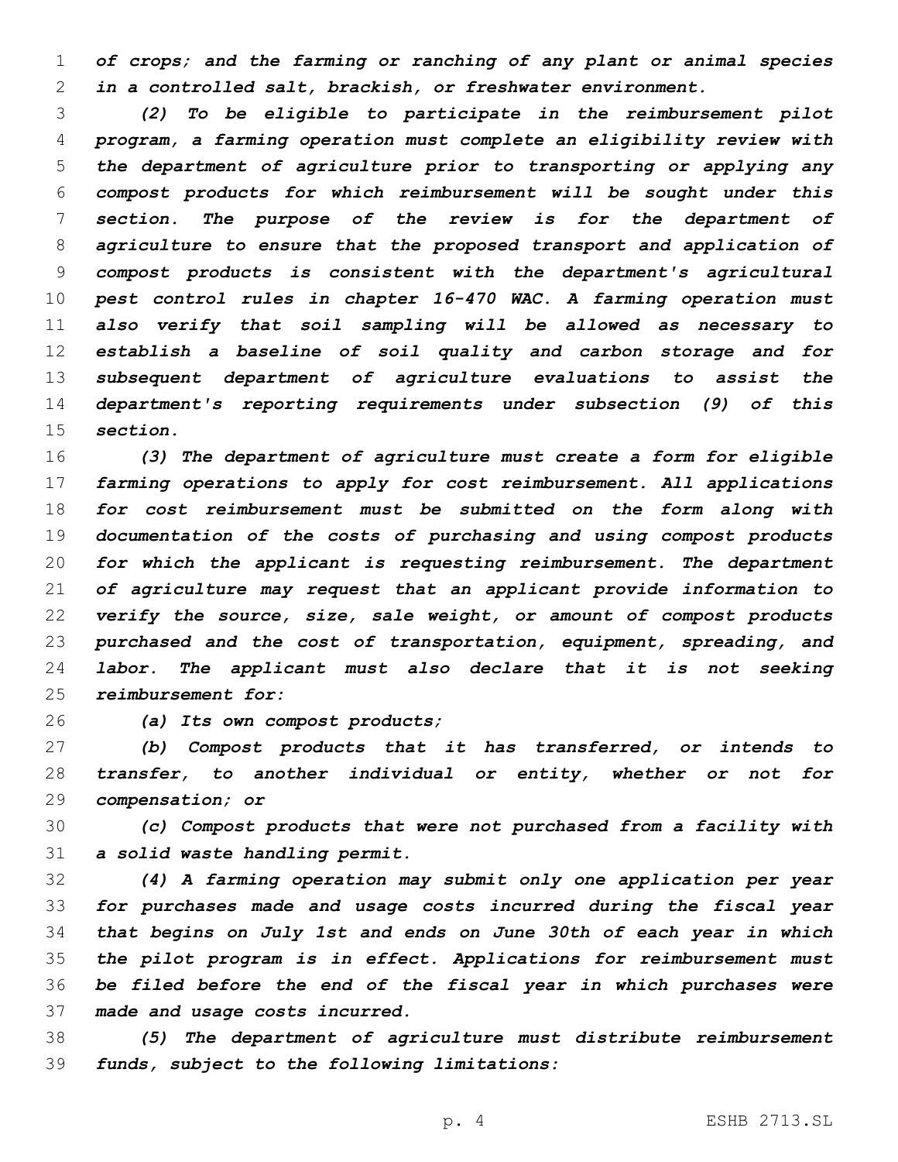*of crops; and the farming or ranching of any plant or animal species in a controlled salt, brackish, or freshwater environment.*

 *(2) To be eligible to participate in the reimbursement pilot program, a farming operation must complete an eligibility review with the department of agriculture prior to transporting or applying any compost products for which reimbursement will be sought under this section. The purpose of the review is for the department of agriculture to ensure that the proposed transport and application of compost products is consistent with the department's agricultural pest control rules in chapter 16-470 WAC. A farming operation must also verify that soil sampling will be allowed as necessary to establish a baseline of soil quality and carbon storage and for subsequent department of agriculture evaluations to assist the department's reporting requirements under subsection (9) of this section.*

 *(3) The department of agriculture must create a form for eligible farming operations to apply for cost reimbursement. All applications for cost reimbursement must be submitted on the form along with documentation of the costs of purchasing and using compost products for which the applicant is requesting reimbursement. The department of agriculture may request that an applicant provide information to verify the source, size, sale weight, or amount of compost products purchased and the cost of transportation, equipment, spreading, and labor. The applicant must also declare that it is not seeking reimbursement for:*

*(a) Its own compost products;*

 *(b) Compost products that it has transferred, or intends to transfer, to another individual or entity, whether or not for compensation; or*

 *(c) Compost products that were not purchased from a facility with a solid waste handling permit.*

 *(4) A farming operation may submit only one application per year for purchases made and usage costs incurred during the fiscal year that begins on July 1st and ends on June 30th of each year in which the pilot program is in effect. Applications for reimbursement must be filed before the end of the fiscal year in which purchases were made and usage costs incurred.*

 *(5) The department of agriculture must distribute reimbursement funds, subject to the following limitations:*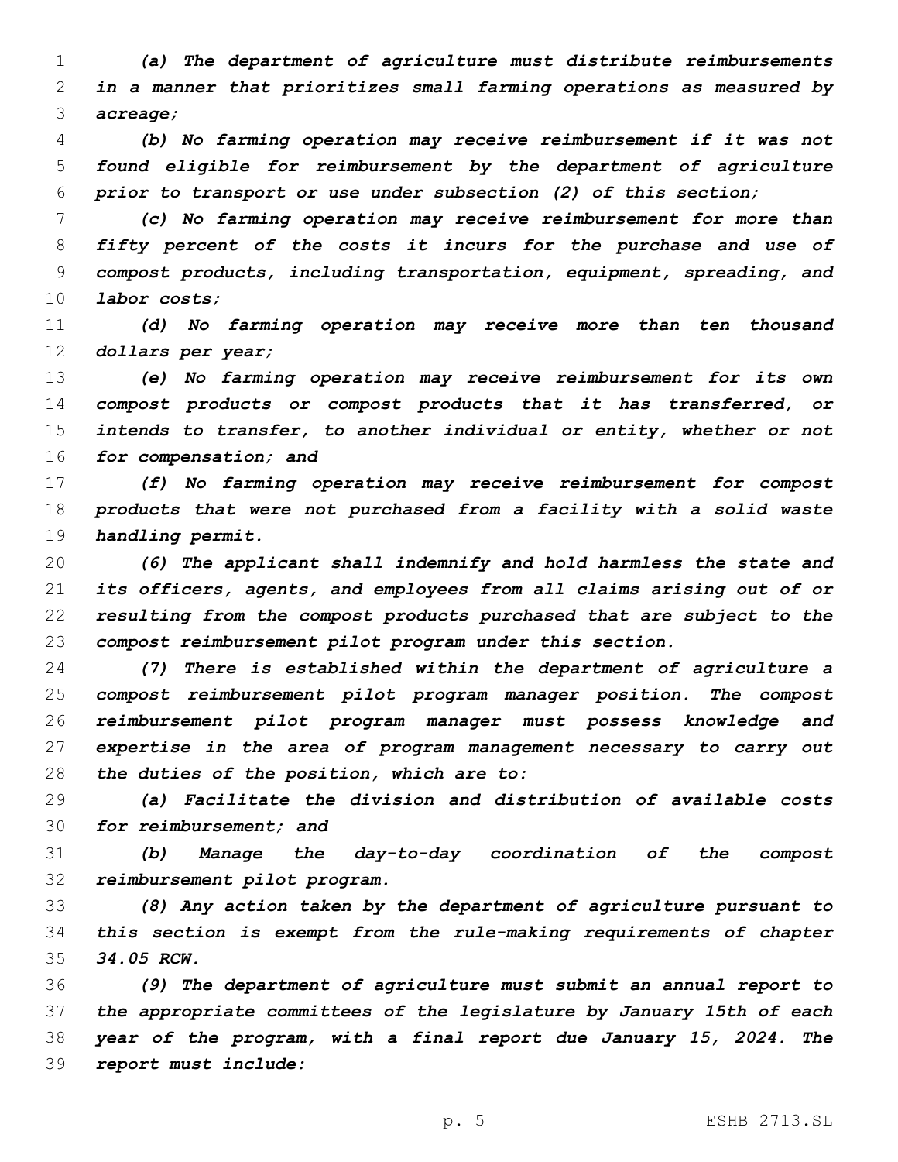*(a) The department of agriculture must distribute reimbursements in a manner that prioritizes small farming operations as measured by acreage;*

 *(b) No farming operation may receive reimbursement if it was not found eligible for reimbursement by the department of agriculture prior to transport or use under subsection (2) of this section;*

 *(c) No farming operation may receive reimbursement for more than fifty percent of the costs it incurs for the purchase and use of compost products, including transportation, equipment, spreading, and labor costs;*

 *(d) No farming operation may receive more than ten thousand dollars per year;*

 *(e) No farming operation may receive reimbursement for its own compost products or compost products that it has transferred, or intends to transfer, to another individual or entity, whether or not for compensation; and*

 *(f) No farming operation may receive reimbursement for compost products that were not purchased from a facility with a solid waste handling permit.*

 *(6) The applicant shall indemnify and hold harmless the state and its officers, agents, and employees from all claims arising out of or resulting from the compost products purchased that are subject to the compost reimbursement pilot program under this section.*

 *(7) There is established within the department of agriculture a compost reimbursement pilot program manager position. The compost reimbursement pilot program manager must possess knowledge and expertise in the area of program management necessary to carry out the duties of the position, which are to:*

 *(a) Facilitate the division and distribution of available costs for reimbursement; and*

 *(b) Manage the day-to-day coordination of the compost reimbursement pilot program.*

 *(8) Any action taken by the department of agriculture pursuant to this section is exempt from the rule-making requirements of chapter 34.05 RCW.*

 *(9) The department of agriculture must submit an annual report to the appropriate committees of the legislature by January 15th of each year of the program, with a final report due January 15, 2024. The report must include:*